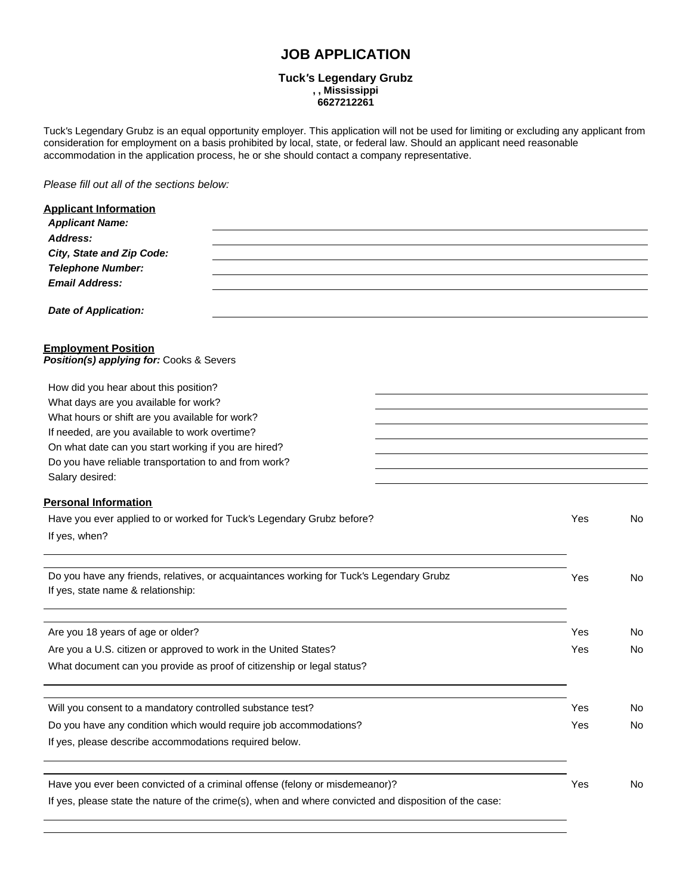# **JOB APPLICATION**

#### **Tuck***'***s Legendary Grubz , , Mississippi 6627212261**

Tuck*'*s Legendary Grubz is an equal opportunity employer. This application will not be used for limiting or excluding any applicant from consideration for employment on a basis prohibited by local, state, or federal law. Should an applicant need reasonable accommodation in the application process, he or she should contact a company representative.

*Please fill out all of the sections below:*

| <b>Applicant Information</b>                                                                           |     |     |
|--------------------------------------------------------------------------------------------------------|-----|-----|
| <b>Applicant Name:</b>                                                                                 |     |     |
| Address:                                                                                               |     |     |
| City, State and Zip Code:                                                                              |     |     |
| <b>Telephone Number:</b>                                                                               |     |     |
| <b>Email Address:</b>                                                                                  |     |     |
| <b>Date of Application:</b>                                                                            |     |     |
| <b>Employment Position</b><br>Position(s) applying for: Cooks & Severs                                 |     |     |
| How did you hear about this position?                                                                  |     |     |
| What days are you available for work?                                                                  |     |     |
| What hours or shift are you available for work?                                                        |     |     |
| If needed, are you available to work overtime?                                                         |     |     |
| On what date can you start working if you are hired?                                                   |     |     |
| Do you have reliable transportation to and from work?                                                  |     |     |
| Salary desired:                                                                                        |     |     |
| <b>Personal Information</b>                                                                            |     |     |
| Have you ever applied to or worked for Tuck's Legendary Grubz before?                                  | Yes | No  |
| If yes, when?                                                                                          |     |     |
|                                                                                                        |     |     |
| Do you have any friends, relatives, or acquaintances working for Tuck's Legendary Grubz                | Yes | No  |
| If yes, state name & relationship:                                                                     |     |     |
|                                                                                                        |     |     |
| Are you 18 years of age or older?                                                                      | Yes | No. |
| Are you a U.S. citizen or approved to work in the United States?                                       | Yes | No  |
| What document can you provide as proof of citizenship or legal status?                                 |     |     |
|                                                                                                        |     |     |
| Will you consent to a mandatory controlled substance test?                                             | Yes | No  |
| Do you have any condition which would require job accommodations?                                      | Yes | No  |
| If yes, please describe accommodations required below.                                                 |     |     |
|                                                                                                        |     |     |
| Have you ever been convicted of a criminal offense (felony or misdemeanor)?                            | Yes | No  |
| If yes, please state the nature of the crime(s), when and where convicted and disposition of the case: |     |     |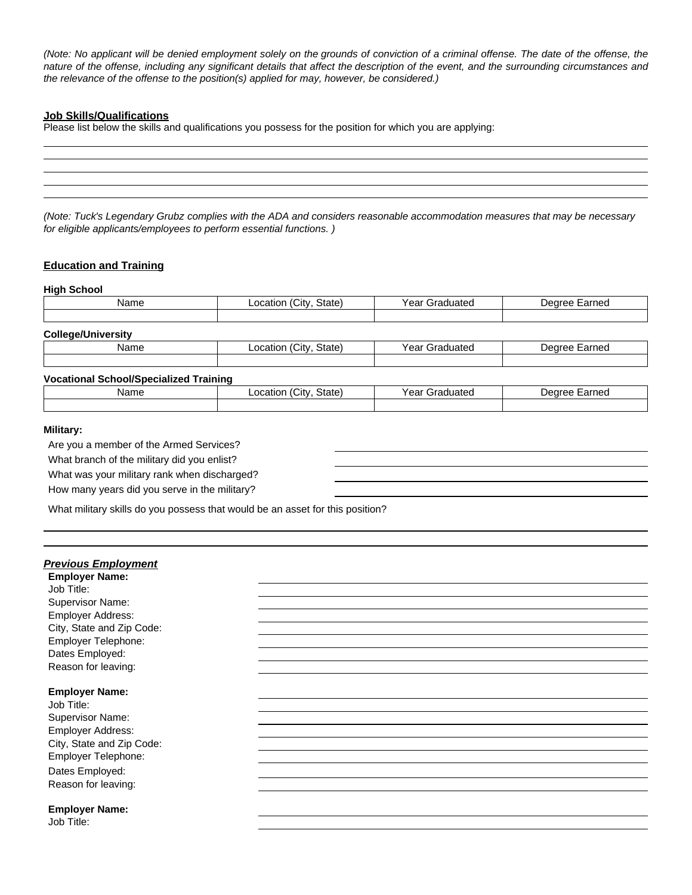(Note: No applicant will be denied employment solely on the grounds of conviction of a criminal offense. The date of the offense, the nature of the offense, including any significant details that affect the description of the event, and the surrounding circumstances and *the relevance of the offense to the position(s) applied for may, however, be considered.)*

### **Job Skills/Qualifications**

Please list below the skills and qualifications you possess for the position for which you are applying:

| <u> 2000 - 2000 - 2000 - 2000 - 2000 - 2000 - 2000 - 2000 - 2000 - 2000 - 2000 - 2000 - 2000 - 2000 - 2000 - 200</u> |  |                                                                                                                      |
|----------------------------------------------------------------------------------------------------------------------|--|----------------------------------------------------------------------------------------------------------------------|
|                                                                                                                      |  | <u> 1989 - Jan Stein Stein Stein Stein Stein Stein Stein Stein Stein Stein Stein Stein Stein Stein Stein Stein S</u> |
|                                                                                                                      |  |                                                                                                                      |
|                                                                                                                      |  |                                                                                                                      |

(Note: Tuck's Legendary Grubz complies with the ADA and considers reasonable accommodation measures that may be necessary *for eligible applicants/employees to perform essential functions. )*

# **Education and Training**

# **High School** Name **Location (City, State)** Year Graduated | Degree Earned **College/University** Name **Location (City, State)** Year Graduated Degree Earned **Vocational School/Specialized Training** Name **Location (City, State)** Year Graduated **Degree Earned**

# **Military:**

Are you a member of the Armed Services?

What branch of the military did you enlist?

What was your military rank when discharged?

How many years did you serve in the military?

What military skills do you possess that would be an asset for this position?

#### *Previous Employment*

**Employer Name:** Job Title: Supervisor Name: Employer Address: City, State and Zip Code: Employer Telephone: Dates Employed: Reason for leaving:

#### **Employer Name:**

Job Title: Supervisor Name: Employer Address: City, State and Zip Code: Employer Telephone: Dates Employed: Reason for leaving:

#### **Employer Name:**

Job Title: